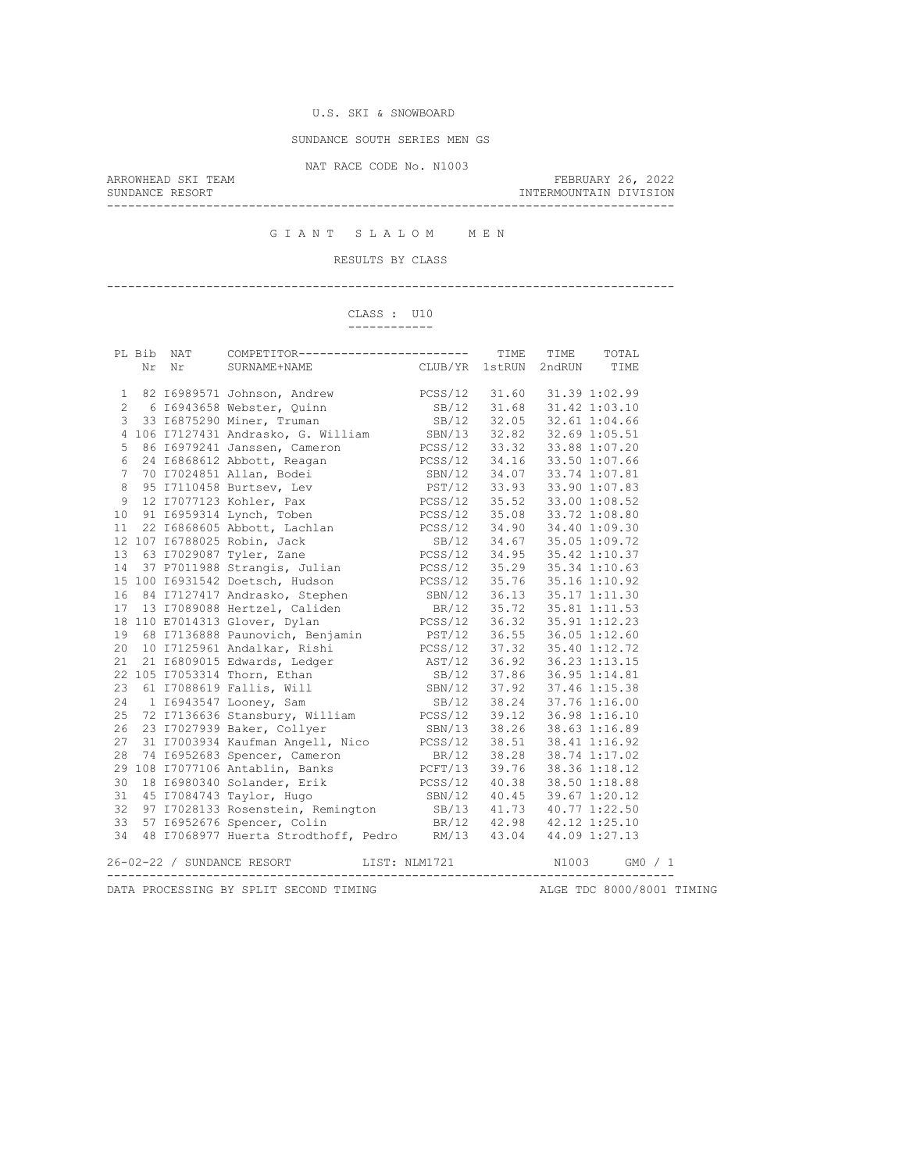SUNDANCE SOUTH SERIES MEN GS

NAT RACE CODE No. N1003

ARROWHEAD SKI TEAM FEBRUARY 26, 2022 INTERMOUNTAIN DIVISION --------------------------------------------------------------------------------

G I A N T S L A L O M M E N

# RESULTS BY CLASS

--------------------------------------------------------------------------------

#### CLASS : U10 ------------

|              |       |                                                                                                                                                                                                                                                                |                           |       | TOTAL   |  |
|--------------|-------|----------------------------------------------------------------------------------------------------------------------------------------------------------------------------------------------------------------------------------------------------------------|---------------------------|-------|---------|--|
|              | Nr Nr | SURNAME+NAME CLUB/YR 1stRUN 2ndRUN TIME                                                                                                                                                                                                                        |                           |       |         |  |
|              |       |                                                                                                                                                                                                                                                                |                           |       |         |  |
| $\mathbf{1}$ |       | 82 16989571 Johnson, Andrew PCSS/12 31.60 31.39 1:02.99                                                                                                                                                                                                        |                           |       |         |  |
|              |       | 2 6 16943658 Webster, Quinn<br>3 33 16875290 Miner, Truman<br>3 33 16875290 Miner, Truman<br>3 33 16875290 Miner, Truman<br>3 33 16875290 Miner, Truman<br>3 34 168 31.42 1:03.10<br>5 86 16979241 Janssen, Cameron<br>6 24 16868612 Abbott,                   |                           |       |         |  |
|              |       |                                                                                                                                                                                                                                                                |                           |       |         |  |
|              |       |                                                                                                                                                                                                                                                                |                           |       |         |  |
|              |       |                                                                                                                                                                                                                                                                |                           |       |         |  |
|              |       |                                                                                                                                                                                                                                                                |                           |       |         |  |
|              |       |                                                                                                                                                                                                                                                                |                           |       |         |  |
| 8            |       | 95 I7110458 Burtsev, Lev PST/12 33.93 33.90 1:07.83                                                                                                                                                                                                            |                           |       |         |  |
| 9            |       | 12 I7077123 Kohler, Pax PCSS/12 35.52 33.00 1:08.52                                                                                                                                                                                                            |                           |       |         |  |
|              |       |                                                                                                                                                                                                                                                                |                           |       |         |  |
|              |       |                                                                                                                                                                                                                                                                |                           |       |         |  |
|              |       |                                                                                                                                                                                                                                                                |                           |       |         |  |
|              |       | 10 91 16959314 Lynch, Toben<br>11 22 16868605 Abbott, Lachlan<br>12 107 16788025 Robin, Jack<br>12 107 16788025 Robin, Jack<br>13 63 17029087 Tyler, Zane<br>13 63 17029087 Tyler, Zane<br>13 63 17029087 Tyler, Zane<br>13 63 17029087 Tyle                   |                           |       |         |  |
| 14           |       | 37 P7011988 Strangis, Julian PCSS/12 35.29 35.34 1:10.63                                                                                                                                                                                                       |                           |       |         |  |
|              |       | 15 100 16931542 Doetsch, Hudson PCSS/12 35.76 35.16 1:10.92                                                                                                                                                                                                    |                           |       |         |  |
| 16           |       |                                                                                                                                                                                                                                                                |                           |       |         |  |
|              |       | 16 84 1/12/41/ Andrasko, Stephen<br>17 13 17089088 Hertzel, Caliden<br>17 13 17089088 Hertzel, Caliden<br>18/12 35.72 35.81 1:11.53<br>19 68 17136888 Paunovich, Benjamin<br>19 68 17136888 Paunovich, Benjamin<br>19 68 17136868 Paunovic                     |                           |       |         |  |
|              |       |                                                                                                                                                                                                                                                                |                           |       |         |  |
|              |       |                                                                                                                                                                                                                                                                |                           |       |         |  |
|              |       |                                                                                                                                                                                                                                                                |                           |       |         |  |
|              |       |                                                                                                                                                                                                                                                                |                           |       |         |  |
|              |       |                                                                                                                                                                                                                                                                |                           |       |         |  |
|              |       |                                                                                                                                                                                                                                                                |                           |       |         |  |
| 24           |       | 1 I6943547 Looney, Sam<br>24 1 16943547 Looney, Sam 5B/12 38.24 37.76 1:16.00<br>25 72 17136636 Stansbury, William PCSS/12 39.12 36.98 1:16.10<br>26 23 17027939 Baker, Collyer 5BN/13 38.26 38.63 1:16.89<br>27 31 17003934 Kaufman Angell, Nico PCSS/12 38.5 | SB/12 38.24 37.76 1:16.00 |       |         |  |
|              |       |                                                                                                                                                                                                                                                                |                           |       |         |  |
|              |       |                                                                                                                                                                                                                                                                |                           |       |         |  |
|              |       |                                                                                                                                                                                                                                                                |                           |       |         |  |
|              |       |                                                                                                                                                                                                                                                                |                           |       |         |  |
|              |       |                                                                                                                                                                                                                                                                |                           |       |         |  |
| 30           |       |                                                                                                                                                                                                                                                                |                           |       |         |  |
| 31           |       |                                                                                                                                                                                                                                                                |                           |       |         |  |
| 32           |       |                                                                                                                                                                                                                                                                |                           |       |         |  |
| 33           |       | 18 16980340 Solander, Erik<br>45 17084743 Taylor, Hugo<br>97 17028133 Rosenstein, Remington<br>57 16952676 Spencer, Colin 18.16.17 18.20.12<br>98 11.73 40.77 1:22.50<br>98 11.73 40.77 1:22.50<br>98 11.73 40.77 1:22.50<br>98 11.73 40.77                    |                           |       |         |  |
|              |       | 34 48 I7068977 Huerta Strodthoff, Pedro RM/13 43.04 44.09 1:27.13                                                                                                                                                                                              |                           |       |         |  |
|              |       | 26-02-22 / SUNDANCE RESORT<br>LIST: NLM1721                                                                                                                                                                                                                    |                           | N1003 | GMO / 1 |  |
|              |       |                                                                                                                                                                                                                                                                |                           |       |         |  |
|              |       |                                                                                                                                                                                                                                                                |                           |       |         |  |

DATA PROCESSING BY SPLIT SECOND TIMING **ALGE TDC 8000/8001 TIMING**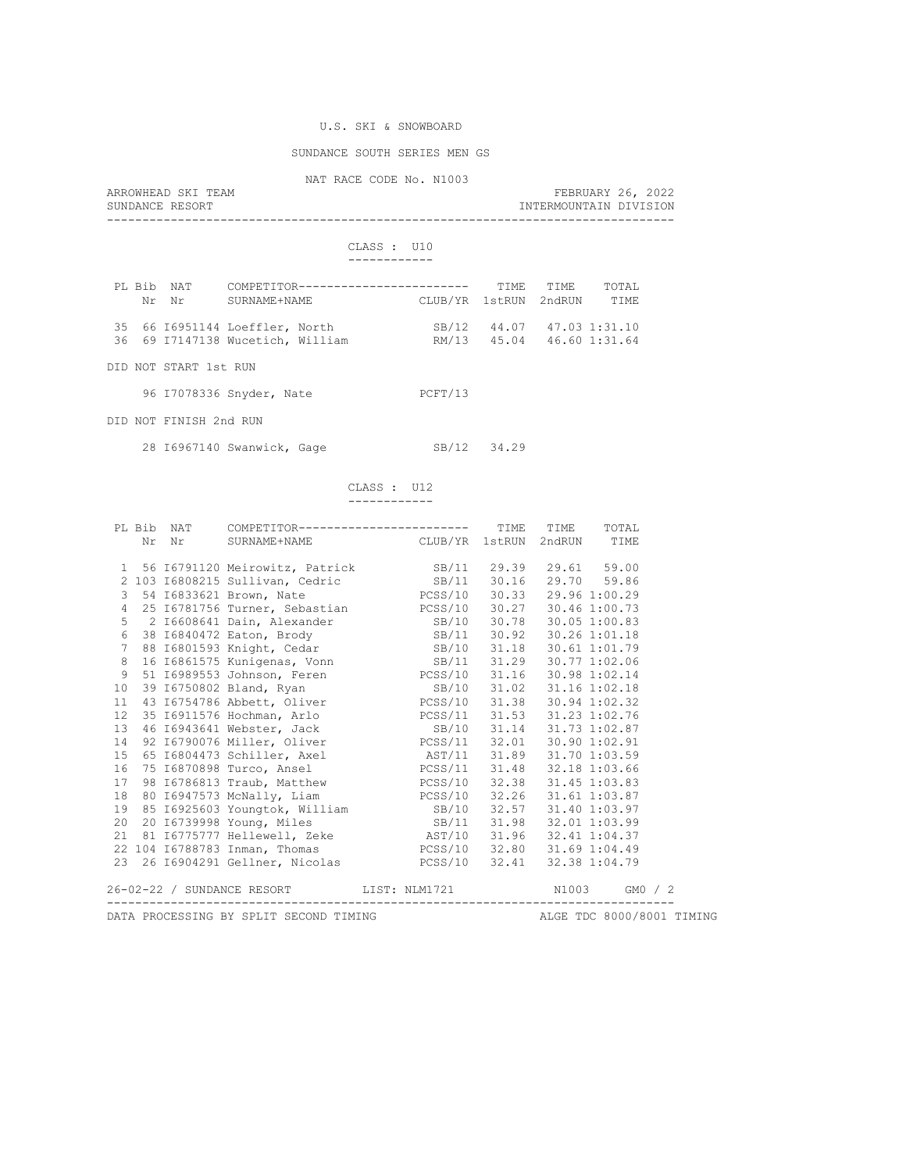## SUNDANCE SOUTH SERIES MEN GS

NAT RACE CODE No. N1003

| ARROWHEAD SKI TEAM | FEBRUARY 26, 2022      |  |
|--------------------|------------------------|--|
| SUNDANCE RESORT    | INTERMOUNTAIN DIVISION |  |
|                    |                        |  |

#### CLASS : U10 ------------

| PL Bib NAT | Nr Nr | SURNAME+NAME                                                       | COMPETITOR------------------------ | CLUB/YR 1stRUN 2ndRUN |                           | TTME TTME | TOTAL.<br>TTMF.           |
|------------|-------|--------------------------------------------------------------------|------------------------------------|-----------------------|---------------------------|-----------|---------------------------|
|            |       | 35 66 16951144 Loeffler, North<br>36 69 I7147138 Wucetich, William |                                    |                       | SB/12 44.07 47.03 1:31.10 |           | RM/13 45.04 46.60 1:31.64 |

DID NOT START 1st RUN

| 96 I7078336 Snyder, Nate |  | PCFT/13 |
|--------------------------|--|---------|
|--------------------------|--|---------|

DID NOT FINISH 2nd RUN

28 I6967140 Swanwick, Gage SB/12 34.29

#### CLASS : U12 ------------

|                 |                                                                                                    |  | PL Bib NAT COMPETITOR------------------------ TIME TIME TOTAL                                                                                                                                                                  |  |  |  |  |  |  |  |
|-----------------|----------------------------------------------------------------------------------------------------|--|--------------------------------------------------------------------------------------------------------------------------------------------------------------------------------------------------------------------------------|--|--|--|--|--|--|--|
|                 |                                                                                                    |  | Nr Nr SURNAME+NAME CLUB/YR 1stRUN 2ndRUN TIME                                                                                                                                                                                  |  |  |  |  |  |  |  |
|                 |                                                                                                    |  | 1 56 16791120 Meirowitz, Patrick SB/11 29.39 29.61 59.00                                                                                                                                                                       |  |  |  |  |  |  |  |
|                 |                                                                                                    |  | 2 103 16808215 Sullivan, Cedric 68/11 30.16 29.70 59.86                                                                                                                                                                        |  |  |  |  |  |  |  |
|                 |                                                                                                    |  | 3 54 16833621 Brown, Nate PCSS/10 30.33 29.96 1:00.29                                                                                                                                                                          |  |  |  |  |  |  |  |
|                 |                                                                                                    |  | 4 25 16781756 Turner, Sebastian PCSS/10 30.27 30.46 1:00.73                                                                                                                                                                    |  |  |  |  |  |  |  |
|                 |                                                                                                    |  |                                                                                                                                                                                                                                |  |  |  |  |  |  |  |
|                 |                                                                                                    |  |                                                                                                                                                                                                                                |  |  |  |  |  |  |  |
|                 |                                                                                                    |  | 6 38 16840472 Eaton, Brody 58/11 30.92 30.26 1:01.18<br>7 88 16801593 Knight, Cedar 58/10 31.18 30.61 1:01.79                                                                                                                  |  |  |  |  |  |  |  |
|                 |                                                                                                    |  | 8 16 16861575 Kunigenas, Vonn<br>9 51 16989553 Johnson, Feren<br>10 39 16750802 Bland, Ryan<br>10 31.16 30.98 1:02.18<br>11 43 16754786 Abbett, Oliver<br>12 31.16 30.98 1:02.18<br>13 31.02 31.16 1:02.18<br>13 30.94 1:02.32 |  |  |  |  |  |  |  |
|                 |                                                                                                    |  |                                                                                                                                                                                                                                |  |  |  |  |  |  |  |
|                 |                                                                                                    |  |                                                                                                                                                                                                                                |  |  |  |  |  |  |  |
|                 |                                                                                                    |  |                                                                                                                                                                                                                                |  |  |  |  |  |  |  |
| 12 <sup>°</sup> |                                                                                                    |  |                                                                                                                                                                                                                                |  |  |  |  |  |  |  |
| 13              |                                                                                                    |  |                                                                                                                                                                                                                                |  |  |  |  |  |  |  |
| 14              |                                                                                                    |  | 92 16790076 Miller, Oliver PCSS/11 32.01 30.90 1:02.91                                                                                                                                                                         |  |  |  |  |  |  |  |
| 15              |                                                                                                    |  |                                                                                                                                                                                                                                |  |  |  |  |  |  |  |
| 16              |                                                                                                    |  |                                                                                                                                                                                                                                |  |  |  |  |  |  |  |
| 17              |                                                                                                    |  | 98 16786813 Traub, Matthew PCSS/10 32.38 31.45 1:03.83                                                                                                                                                                         |  |  |  |  |  |  |  |
|                 |                                                                                                    |  |                                                                                                                                                                                                                                |  |  |  |  |  |  |  |
|                 |                                                                                                    |  | 18 80 16947573 McNally, Liam $\begin{array}{cccc} \text{PCSS/10} & 32.26 & 31.61 1:03.87 \\ 19 & 85 & 16925603 & \text{Youngtok, William} \\ 20 & 20 & 16739998 & \text{Young, Miles} \end{array}$                             |  |  |  |  |  |  |  |
|                 |                                                                                                    |  |                                                                                                                                                                                                                                |  |  |  |  |  |  |  |
|                 |                                                                                                    |  | 21 81 16775777 Hellewell, Zeke AST/10 31.96 32.41 1:04.37                                                                                                                                                                      |  |  |  |  |  |  |  |
|                 |                                                                                                    |  | 22 104 16788783 Inman, Thomas PCSS/10 32.80 31.69 1:04.49                                                                                                                                                                      |  |  |  |  |  |  |  |
|                 |                                                                                                    |  |                                                                                                                                                                                                                                |  |  |  |  |  |  |  |
|                 |                                                                                                    |  | 26-02-22 / SUNDANCE RESORT LIST: NLM1721 N1003 GM0 / 2                                                                                                                                                                         |  |  |  |  |  |  |  |
|                 | ------------------------------<br>DATA PROCESSING BY SPLIT SECOND TIMING ALGE TDC 8000/8001 TIMING |  |                                                                                                                                                                                                                                |  |  |  |  |  |  |  |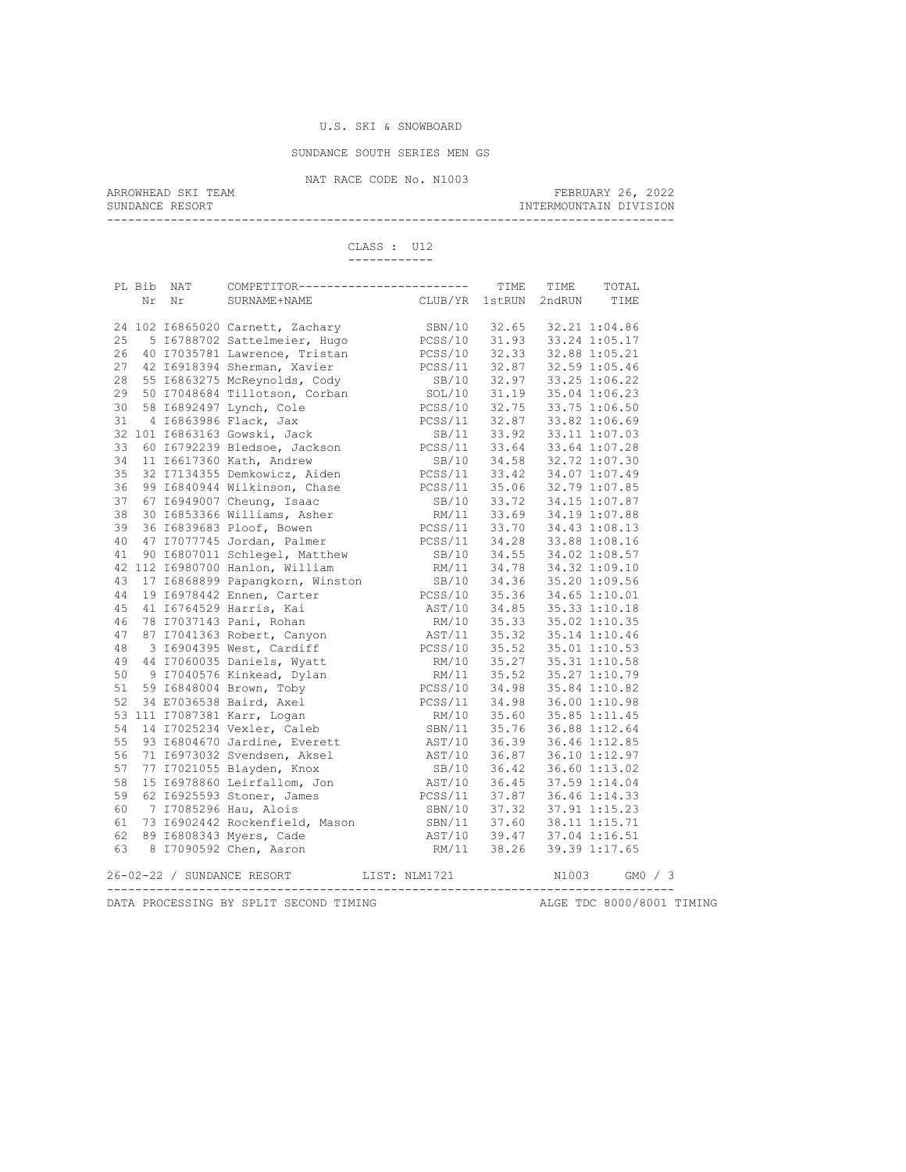## SUNDANCE SOUTH SERIES MEN GS

NAT RACE CODE No. N1003<br>ARROWHEAD SKI TEAM

ARROWHEAD SKI TEAM FEBRUARY 26, 2022 SUNDANCE RESORT **INTERMOUNTAIN DIVISION** 

--------------------------------------------------------------------------------

 CLASS : U12 ------------

|    | PL Bib NAT | COMPETITOR------------------------ TIME TIME                                                                                                                                                                                                                                                                                                                                                                                   |                                                                                        |       | TOTAL     |  |
|----|------------|--------------------------------------------------------------------------------------------------------------------------------------------------------------------------------------------------------------------------------------------------------------------------------------------------------------------------------------------------------------------------------------------------------------------------------|----------------------------------------------------------------------------------------|-------|-----------|--|
|    | Nr Nr      | SURNAME+NAME                                                                                                                                                                                                                                                                                                                                                                                                                   | CLUB/YR 1stRUN 2ndRUN TIME                                                             |       |           |  |
|    |            |                                                                                                                                                                                                                                                                                                                                                                                                                                |                                                                                        |       |           |  |
|    |            | 24 102 16865020 Carnett, Zachary                                                                                                                                                                                                                                                                                                                                                                                               | SBN/10 32.65 32.21 1:04.86                                                             |       |           |  |
| 25 |            | 5 16788702 Sattelmeier, Hugo                                                                                                                                                                                                                                                                                                                                                                                                   | PCSS/10 31.93 33.24 1:05.17<br>PCSS/10 32.33 32.88 1:05.21                             |       |           |  |
| 26 |            |                                                                                                                                                                                                                                                                                                                                                                                                                                |                                                                                        |       |           |  |
| 27 |            | 40 17035781 Lawrence, Tristan<br>42 16918394 Sherman, Xavier<br>22.87 32.87 32.59 1:05.46<br>22.87 32.59 1:05.46                                                                                                                                                                                                                                                                                                               |                                                                                        |       |           |  |
|    |            |                                                                                                                                                                                                                                                                                                                                                                                                                                |                                                                                        |       |           |  |
|    |            |                                                                                                                                                                                                                                                                                                                                                                                                                                |                                                                                        |       |           |  |
|    |            |                                                                                                                                                                                                                                                                                                                                                                                                                                |                                                                                        |       |           |  |
|    |            | 28 55 16863275 McReynolds, Cody<br>29 50 17048684 Tillotson, Corban<br>30 58 16892497 Lynch, Cole<br>31 4 16863986 Flack, Jax<br>32 101 16863163 Gowski, Jack<br>32 101 16863163 Gowski, Jack<br>32 101 16863163 Gowski, Jack<br>32 101 1686<br>4 16863986 Flack, Jax<br>01 16863163 Gowski, Jack<br>60 16792239 Bledsoe, Jackson<br>86 16792239 Bledsoe, Jackson<br>86 16792239 Bledsoe, Jackson<br>87 11 33.64 33.64 1:07.28 |                                                                                        |       |           |  |
|    |            |                                                                                                                                                                                                                                                                                                                                                                                                                                |                                                                                        |       |           |  |
| 33 |            |                                                                                                                                                                                                                                                                                                                                                                                                                                |                                                                                        |       |           |  |
| 34 |            | 11 16617360 Kath, Andrew SB/10 34.58 32.72 1:07.30<br>32 17134355 Demkowicz, Aiden PCSS/11 33.42 34.07 1:07.49                                                                                                                                                                                                                                                                                                                 |                                                                                        |       |           |  |
| 35 |            |                                                                                                                                                                                                                                                                                                                                                                                                                                |                                                                                        |       |           |  |
| 36 |            | 99 16840944 Wilkinson, Chase 199 16840944 Wilkinson, Chase 199 16840944 Wilkinson, Chase 199 16840944 Wilkinson, Chase 199 16840944 Wilkinson, Chase 199 16840907 Cheung, Isaac 199 1684044 Wilkinson, Asher 199 1684044 Willi                                                                                                                                                                                                 |                                                                                        |       |           |  |
| 37 |            |                                                                                                                                                                                                                                                                                                                                                                                                                                |                                                                                        |       |           |  |
| 38 |            |                                                                                                                                                                                                                                                                                                                                                                                                                                |                                                                                        |       |           |  |
| 39 |            |                                                                                                                                                                                                                                                                                                                                                                                                                                |                                                                                        |       |           |  |
| 40 |            |                                                                                                                                                                                                                                                                                                                                                                                                                                |                                                                                        |       |           |  |
|    |            | 41 90 16807011 Schlegel, Matthew SB/10 34.55 34.02 1:08.57<br>42 112 16980700 Hanlon, William RM/11 34.78 34.32 1:09.10<br>43 17 16868899 Papangkorn, Winston SB/10 34.36 35.20 1:09.56                                                                                                                                                                                                                                        |                                                                                        |       |           |  |
|    |            |                                                                                                                                                                                                                                                                                                                                                                                                                                |                                                                                        |       |           |  |
|    |            |                                                                                                                                                                                                                                                                                                                                                                                                                                |                                                                                        |       |           |  |
| 44 |            | 19 16978442 Ennen, Carter and PCSS/10 35.36 34.65 1:10.01<br>41 16764529 Harris, Kai AST/10 35.36 34.65 1:10.01<br>78 17037143 Pani, Rohan RM/10 35.33 35.02 1:10.35<br>87 17041363 Robert, Canyon AST/11 35.32 35.14 1:10.46<br>3 1690439                                                                                                                                                                                     |                                                                                        |       |           |  |
| 45 |            |                                                                                                                                                                                                                                                                                                                                                                                                                                |                                                                                        |       |           |  |
| 46 |            |                                                                                                                                                                                                                                                                                                                                                                                                                                |                                                                                        |       |           |  |
| 47 |            |                                                                                                                                                                                                                                                                                                                                                                                                                                |                                                                                        |       |           |  |
| 48 |            |                                                                                                                                                                                                                                                                                                                                                                                                                                |                                                                                        |       |           |  |
| 49 |            |                                                                                                                                                                                                                                                                                                                                                                                                                                |                                                                                        |       |           |  |
| 50 |            | 3 10904333 West, Cardinal<br>44 17060035 Daniels, Wyatt<br>9 17040576 Kinkead, Dylan<br>59 16848004 Brown, Toby<br>7087381 Baird, Axel<br>111 17087381 Karr, Logan<br>111 17087381 Karr, Logan<br>111 17087381 Karr, Logan<br>111 17087381 Kar                                                                                                                                                                                 |                                                                                        |       |           |  |
| 51 |            |                                                                                                                                                                                                                                                                                                                                                                                                                                |                                                                                        |       |           |  |
| 52 |            |                                                                                                                                                                                                                                                                                                                                                                                                                                |                                                                                        |       |           |  |
|    |            |                                                                                                                                                                                                                                                                                                                                                                                                                                |                                                                                        |       |           |  |
|    |            | 53 111 I7087381 Karr, Logan<br>54 14 I7025234 Vexler, Caleb                                                                                                                                                                                                                                                                                                                                                                    | SBN/11 35.76 36.88 1:12.64                                                             |       |           |  |
| 55 |            |                                                                                                                                                                                                                                                                                                                                                                                                                                |                                                                                        |       |           |  |
| 56 |            | 93 I6804670 Jardine, Everett<br>71 I6973032 Svendsen, Aksel<br>77 I7021055 Blayden, Knox                                                                                                                                                                                                                                                                                                                                       | AST/10 36.39 36.46 1:12.85<br>AST/10 36.87 36.10 1:12.97                               |       |           |  |
| 57 |            |                                                                                                                                                                                                                                                                                                                                                                                                                                |                                                                                        |       |           |  |
| 58 |            |                                                                                                                                                                                                                                                                                                                                                                                                                                | 88/10 36.42 36.60 1:13.02<br>AST/10 36.42 36.60 1:13.02<br>PCSS/11 37.87 36.46 1:14.33 |       |           |  |
| 59 |            | 15 16978860 Leirfallom, Jon<br>62 16925593 Stoner, James<br>7 17085296 Hau, Alois                                                                                                                                                                                                                                                                                                                                              |                                                                                        |       |           |  |
| 60 |            |                                                                                                                                                                                                                                                                                                                                                                                                                                | SBN/10 37.32 37.91 1:15.23                                                             |       |           |  |
| 61 |            |                                                                                                                                                                                                                                                                                                                                                                                                                                |                                                                                        |       |           |  |
| 62 |            |                                                                                                                                                                                                                                                                                                                                                                                                                                |                                                                                        |       |           |  |
|    |            | 63 8 17090592 Chen, Aaron                                                                                                                                                                                                                                                                                                                                                                                                      |                                                                                        |       |           |  |
|    |            | 1 1/083250 nau, nici.<br>73 16902442 Rockenfield, Mason 5BN/11 37.60 38.11 1:15.71<br>89 16808343 Myers, Cade 189.47 37.04 1:16.51<br>817090592 Chen, Aaron 189.26 39.39 1:17.65                                                                                                                                                                                                                                               |                                                                                        |       |           |  |
|    |            | 26-02-22 / SUNDANCE RESORT                                                                                                                                                                                                                                                                                                                                                                                                     | LIST: NLM1721                                                                          | N1003 | $GMO$ / 3 |  |
|    |            |                                                                                                                                                                                                                                                                                                                                                                                                                                |                                                                                        |       |           |  |
|    |            |                                                                                                                                                                                                                                                                                                                                                                                                                                |                                                                                        |       |           |  |

DATA PROCESSING BY SPLIT SECOND TIMING **ALGE TDC 8000/8001 TIMING**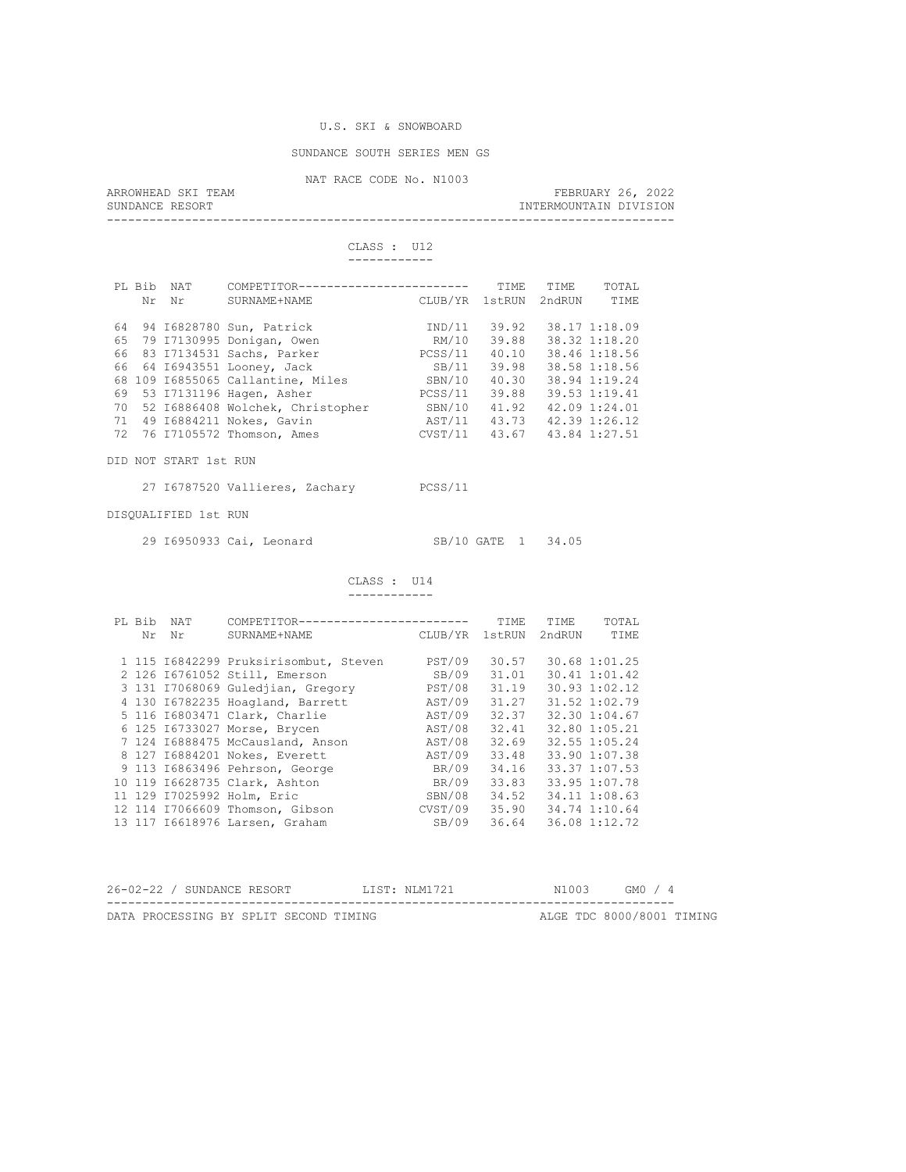### SUNDANCE SOUTH SERIES MEN GS

NAT RACE CODE No. N1003<br>ARROWHEAD SKI TEAM ARROWHEAD SKI TEAM FEBRUARY 26, 2022 SUNDANCE RESORT **INTERMOUNTAIN DIVISION** --------------------------------------------------------------------------------

> CLASS : U12 ------------

|    | PL Bib | <b>NAT</b> | COMPETITOR-                       | ------------------- | <b>TTME</b> | <b>TTME</b> | TOTAL         |
|----|--------|------------|-----------------------------------|---------------------|-------------|-------------|---------------|
|    | Nr     | Nr         | SURNAME+NAME                      | CLUB/YR             | 1stRUN      | 2ndRUN      | TTMF.         |
|    |        |            |                                   |                     |             |             |               |
| 64 |        |            | 94 I6828780 Sun, Patrick          | IND/11              | 39.92       |             | 38.17 1:18.09 |
| 65 |        |            | 79 I7130995 Donigan, Owen         | RM/10               | 39.88       |             | 38.32 1:18.20 |
| 66 |        |            | 83 I7134531 Sachs, Parker         | PCSS/11             | 40.10       |             | 38.46 1:18.56 |
|    |        |            | 66 64 16943551 Looney, Jack       | SB/11               | 39.98       |             | 38.58 1:18.56 |
|    |        |            | 68 109 16855065 Callantine, Miles | SBN/10              | 40.30       |             | 38.94 1:19.24 |
| 69 |        |            | 53 I7131196 Hagen, Asher          | PCSS/11             | 39.88       |             | 39.53 1:19.41 |
| 70 |        |            | 52 16886408 Wolchek, Christopher  | SBN/10              | 41.92       |             | 42.09 1:24.01 |
| 71 |        |            | 49 16884211 Nokes, Gavin          | AST/11              | 43.73       |             | 42.39 1:26.12 |
| 72 |        |            | 76 I7105572 Thomson, Ames         | CVST/11             | 43.67       |             | 43.84 1:27.51 |
|    |        |            |                                   |                     |             |             |               |

DID NOT START 1st RUN

27 I6787520 Vallieres, Zachary PCSS/11

DISQUALIFIED 1st RUN

29 I6950933 Cai, Leonard SB/10 GATE 1 34.05

```
 CLASS : U14 
 ------------
```

| PL Bib<br>Nr | NAT<br>Nr | COMPETITOR-----------------------<br>SURNAME+NAME | CLUB/YR | TTMF.<br>1stRUN | TTMF.<br>2ndRUN | TOTAL<br>TIME |
|--------------|-----------|---------------------------------------------------|---------|-----------------|-----------------|---------------|
|              |           | 1 115 16842299 Pruksirisombut, Steven             | PST/09  | 30.57           |                 | 30.68 1:01.25 |
|              |           | 2 126 16761052 Still, Emerson                     | SB/09   | 31.01           |                 | 30.41 1:01.42 |
|              |           | 3 131 17068069 Guledjian, Gregory                 | PST/08  | 31.19           |                 | 30.93 1:02.12 |
|              |           | 4 130 16782235 Hoagland, Barrett                  | AST/09  | 31.27           |                 | 31.52 1:02.79 |
|              |           | 5 116 16803471 Clark, Charlie                     | AST/09  | 32.37           |                 | 32.30 1:04.67 |
|              |           | 6 125 16733027 Morse, Brycen                      | AST/08  | 32.41           |                 | 32.80 1:05.21 |
|              |           | 7 124 16888475 McCausland, Anson                  | AST/08  | 32.69           |                 | 32.55 1:05.24 |
|              |           | 8 127 16884201 Nokes, Everett                     | AST/09  | 33.48           |                 | 33.90 1:07.38 |
|              |           | 9 113 16863496 Pehrson, George                    | BR/09   | 34.16           |                 | 33.37 1:07.53 |
|              |           | 10 119 16628735 Clark, Ashton                     | BR/09   | 33.83           |                 | 33.95 1:07.78 |
|              |           | 11 129 17025992 Holm, Eric                        | SBN/08  | 34.52           |                 | 34.11 1:08.63 |
|              |           | 12 114 I7066609 Thomson, Gibson                   | CVST/09 | 35.90           |                 | 34.74 1:10.64 |
|              |           | 13 117 16618976 Larsen, Graham                    | SB/09   | 36.64           |                 | 36.08 1:12.72 |

| 26-02-22 / SUNDANCE RESORT |  |  |                                        | LIST: NLM1721 |  | N1003 | GMO / 4 |                           |
|----------------------------|--|--|----------------------------------------|---------------|--|-------|---------|---------------------------|
|                            |  |  | DATA PROCESSING BY SPLIT SECOND TIMING |               |  |       |         | ALGE TDC 8000/8001 TIMING |